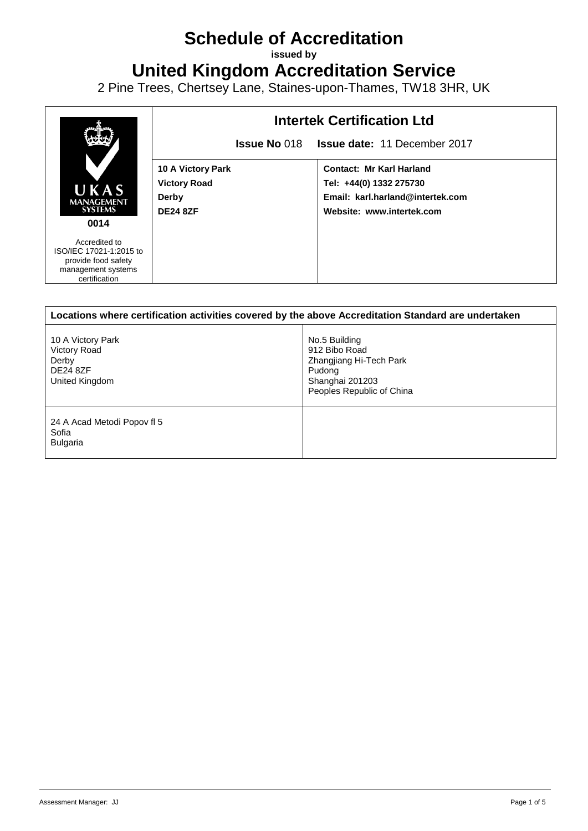## **Schedule of Accreditation**

**issued by**

**United Kingdom Accreditation Service**

2 Pine Trees, Chertsey Lane, Staines-upon-Thames, TW18 3HR, UK



| Locations where certification activities covered by the above Accreditation Standard are undertaken |                                                                                                                     |  |
|-----------------------------------------------------------------------------------------------------|---------------------------------------------------------------------------------------------------------------------|--|
| 10 A Victory Park<br>Victory Road<br>Derby<br><b>DE24 8ZF</b><br>United Kingdom                     | No.5 Building<br>912 Bibo Road<br>Zhangjiang Hi-Tech Park<br>Pudong<br>Shanghai 201203<br>Peoples Republic of China |  |
| 24 A Acad Metodi Popov fl 5<br>Sofia<br><b>Bulgaria</b>                                             |                                                                                                                     |  |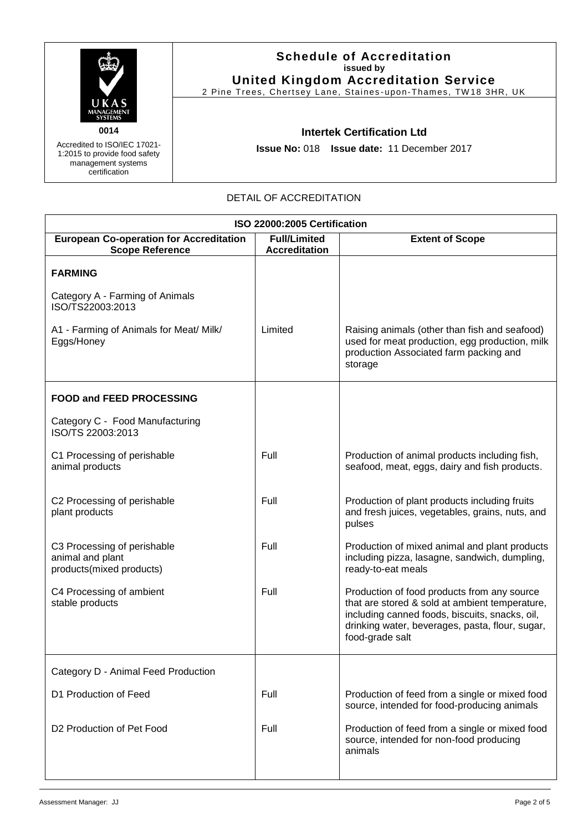

Accredited to ISO/IEC 17021- 1:2015 to provide food safety management systems certification

## **Schedule of Accreditation issued by United Kingdom Accreditation Service**

2 Pine Trees, Chertsey Lane, Staines-upon-Thames, TW18 3HR, UK

**Intertek Certification Ltd**

**Issue No:** 018 **Issue date:** 11 December 2017

## DETAIL OF ACCREDITATION

| ISO 22000:2005 Certification                                                                                            |         |                                                                                                                                                                                                                       |  |
|-------------------------------------------------------------------------------------------------------------------------|---------|-----------------------------------------------------------------------------------------------------------------------------------------------------------------------------------------------------------------------|--|
| <b>European Co-operation for Accreditation</b><br><b>Full/Limited</b><br><b>Scope Reference</b><br><b>Accreditation</b> |         | <b>Extent of Scope</b>                                                                                                                                                                                                |  |
| <b>FARMING</b>                                                                                                          |         |                                                                                                                                                                                                                       |  |
| Category A - Farming of Animals<br>ISO/TS22003:2013                                                                     |         |                                                                                                                                                                                                                       |  |
| A1 - Farming of Animals for Meat/ Milk/<br>Eggs/Honey                                                                   | Limited | Raising animals (other than fish and seafood)<br>used for meat production, egg production, milk<br>production Associated farm packing and<br>storage                                                                  |  |
| <b>FOOD and FEED PROCESSING</b>                                                                                         |         |                                                                                                                                                                                                                       |  |
| Category C - Food Manufacturing<br>ISO/TS 22003:2013                                                                    |         |                                                                                                                                                                                                                       |  |
| C1 Processing of perishable<br>animal products                                                                          | Full    | Production of animal products including fish,<br>seafood, meat, eggs, dairy and fish products.                                                                                                                        |  |
| C2 Processing of perishable<br>plant products                                                                           | Full    | Production of plant products including fruits<br>and fresh juices, vegetables, grains, nuts, and<br>pulses                                                                                                            |  |
| C3 Processing of perishable<br>animal and plant<br>products(mixed products)                                             | Full    | Production of mixed animal and plant products<br>including pizza, lasagne, sandwich, dumpling,<br>ready-to-eat meals                                                                                                  |  |
| C4 Processing of ambient<br>stable products                                                                             | Full    | Production of food products from any source<br>that are stored & sold at ambient temperature,<br>including canned foods, biscuits, snacks, oil,<br>drinking water, beverages, pasta, flour, sugar,<br>food-grade salt |  |
| Category D - Animal Feed Production                                                                                     |         |                                                                                                                                                                                                                       |  |
| D1 Production of Feed                                                                                                   | Full    | Production of feed from a single or mixed food<br>source, intended for food-producing animals                                                                                                                         |  |
| D <sub>2</sub> Production of Pet Food                                                                                   | Full    | Production of feed from a single or mixed food<br>source, intended for non-food producing<br>animals                                                                                                                  |  |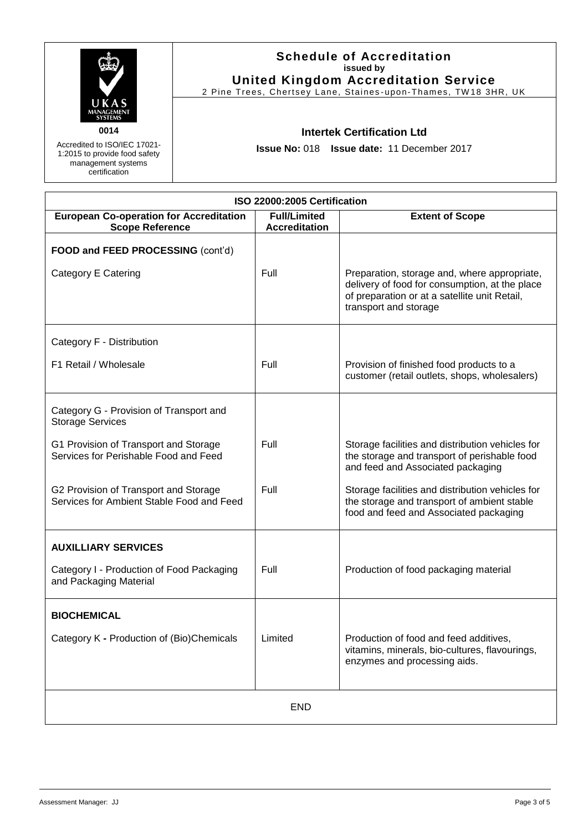

Accredited to ISO/IEC 17021- 1:2015 to provide food safety management systems certification

**Schedule of Accreditation issued by United Kingdom Accreditation Service**

2 Pine Trees, Chertsey Lane, Staines-upon-Thames, TW18 3HR, UK

**Intertek Certification Ltd**

**Issue No:** 018 **Issue date:** 11 December 2017

| ISO 22000:2005 Certification                                                       |                                             |                                                                                                                                                 |  |
|------------------------------------------------------------------------------------|---------------------------------------------|-------------------------------------------------------------------------------------------------------------------------------------------------|--|
| <b>European Co-operation for Accreditation</b><br><b>Scope Reference</b>           | <b>Full/Limited</b><br><b>Accreditation</b> | <b>Extent of Scope</b>                                                                                                                          |  |
| FOOD and FEED PROCESSING (cont'd)<br>Category E Catering                           | Full                                        | Preparation, storage and, where appropriate,<br>delivery of food for consumption, at the place<br>of preparation or at a satellite unit Retail, |  |
|                                                                                    |                                             | transport and storage                                                                                                                           |  |
| Category F - Distribution                                                          |                                             |                                                                                                                                                 |  |
| F1 Retail / Wholesale                                                              | Full                                        | Provision of finished food products to a<br>customer (retail outlets, shops, wholesalers)                                                       |  |
| Category G - Provision of Transport and<br><b>Storage Services</b>                 |                                             |                                                                                                                                                 |  |
| G1 Provision of Transport and Storage<br>Services for Perishable Food and Feed     | Full                                        | Storage facilities and distribution vehicles for<br>the storage and transport of perishable food<br>and feed and Associated packaging           |  |
| G2 Provision of Transport and Storage<br>Services for Ambient Stable Food and Feed | Full                                        | Storage facilities and distribution vehicles for<br>the storage and transport of ambient stable<br>food and feed and Associated packaging       |  |
| <b>AUXILLIARY SERVICES</b>                                                         |                                             |                                                                                                                                                 |  |
| Category I - Production of Food Packaging<br>and Packaging Material                | Full                                        | Production of food packaging material                                                                                                           |  |
| <b>BIOCHEMICAL</b>                                                                 |                                             |                                                                                                                                                 |  |
| Category K - Production of (Bio)Chemicals                                          | Limited                                     | Production of food and feed additives,<br>vitamins, minerals, bio-cultures, flavourings,<br>enzymes and processing aids.                        |  |
| <b>END</b>                                                                         |                                             |                                                                                                                                                 |  |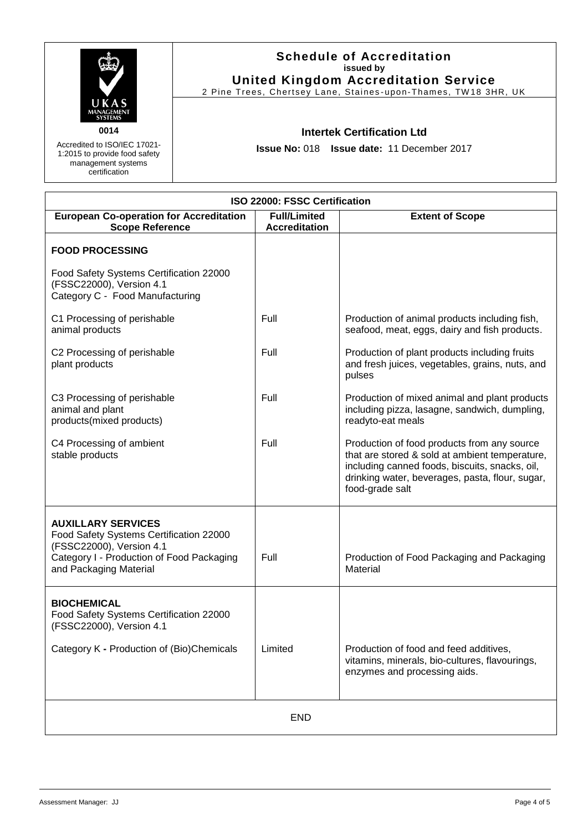|                                                                      | <b>Schedule of Accreditation</b><br>issued by<br><b>United Kingdom Accreditation Service</b><br>2 Pine Trees, Chertsey Lane, Staines-upon-Thames, TW18 3HR, UK |
|----------------------------------------------------------------------|----------------------------------------------------------------------------------------------------------------------------------------------------------------|
| UKAS<br>MANAGEMENT<br><b>SYSTEMS</b><br>0014                         | <b>Intertek Certification Ltd</b>                                                                                                                              |
| Accredited to ISO/IEC 17021-                                         |                                                                                                                                                                |
| 1:2015 to provide food safety<br>management systems<br>certification | <b>Issue No: 018 Issue date: 11 December 2017</b>                                                                                                              |

| ISO 22000: FSSC Certification                                                                                                                                           |                                             |                                                                                                                                                                                                                       |  |
|-------------------------------------------------------------------------------------------------------------------------------------------------------------------------|---------------------------------------------|-----------------------------------------------------------------------------------------------------------------------------------------------------------------------------------------------------------------------|--|
| <b>European Co-operation for Accreditation</b><br><b>Scope Reference</b>                                                                                                | <b>Full/Limited</b><br><b>Accreditation</b> | <b>Extent of Scope</b>                                                                                                                                                                                                |  |
| <b>FOOD PROCESSING</b>                                                                                                                                                  |                                             |                                                                                                                                                                                                                       |  |
| Food Safety Systems Certification 22000<br>(FSSC22000), Version 4.1<br>Category C - Food Manufacturing                                                                  |                                             |                                                                                                                                                                                                                       |  |
| C1 Processing of perishable<br>animal products                                                                                                                          | Full                                        | Production of animal products including fish,<br>seafood, meat, eggs, dairy and fish products.                                                                                                                        |  |
| C2 Processing of perishable<br>plant products                                                                                                                           | Full                                        | Production of plant products including fruits<br>and fresh juices, vegetables, grains, nuts, and<br>pulses                                                                                                            |  |
| C3 Processing of perishable<br>animal and plant<br>products(mixed products)                                                                                             | Full                                        | Production of mixed animal and plant products<br>including pizza, lasagne, sandwich, dumpling,<br>readyto-eat meals                                                                                                   |  |
| C4 Processing of ambient<br>stable products                                                                                                                             | Full                                        | Production of food products from any source<br>that are stored & sold at ambient temperature,<br>including canned foods, biscuits, snacks, oil,<br>drinking water, beverages, pasta, flour, sugar,<br>food-grade salt |  |
| <b>AUXILLARY SERVICES</b><br>Food Safety Systems Certification 22000<br>(FSSC22000), Version 4.1<br>Category I - Production of Food Packaging<br>and Packaging Material | Full                                        | Production of Food Packaging and Packaging<br>Material                                                                                                                                                                |  |
| <b>BIOCHEMICAL</b><br>Food Safety Systems Certification 22000<br>(FSSC22000), Version 4.1                                                                               |                                             |                                                                                                                                                                                                                       |  |
| Category K - Production of (Bio)Chemicals                                                                                                                               | Limited                                     | Production of food and feed additives,<br>vitamins, minerals, bio-cultures, flavourings,<br>enzymes and processing aids.                                                                                              |  |
| <b>END</b>                                                                                                                                                              |                                             |                                                                                                                                                                                                                       |  |